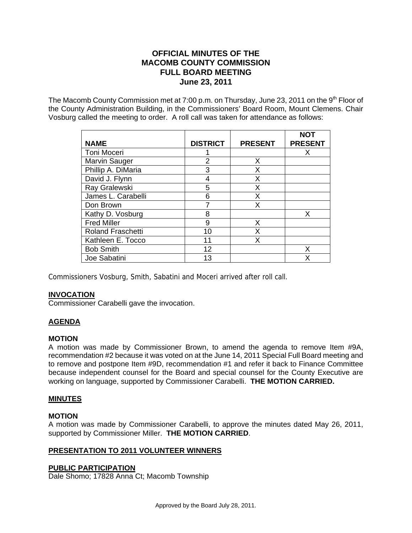# **OFFICIAL MINUTES OF THE MACOMB COUNTY COMMISSION FULL BOARD MEETING June 23, 2011**

The Macomb County Commission met at 7:00 p.m. on Thursday, June 23, 2011 on the  $9<sup>th</sup>$  Floor of the County Administration Building, in the Commissioners' Board Room, Mount Clemens. Chair Vosburg called the meeting to order. A roll call was taken for attendance as follows:

| <b>NAME</b>              | <b>DISTRICT</b> | <b>PRESENT</b> | <b>NOT</b><br><b>PRESENT</b> |
|--------------------------|-----------------|----------------|------------------------------|
| <b>Toni Moceri</b>       |                 |                | x                            |
| Marvin Sauger            | 2               | X              |                              |
| Phillip A. DiMaria       | 3               | X              |                              |
| David J. Flynn           | 4               | X              |                              |
| Ray Gralewski            | 5               | X              |                              |
| James L. Carabelli       | 6               | X              |                              |
| Don Brown                |                 | X              |                              |
| Kathy D. Vosburg         | 8               |                | X                            |
| <b>Fred Miller</b>       | 9               | X              |                              |
| <b>Roland Fraschetti</b> | 10              | x              |                              |
| Kathleen E. Tocco        | 11              | x              |                              |
| <b>Bob Smith</b>         | 12              |                | x                            |
| Joe Sabatini             | 13              |                | x                            |

Commissioners Vosburg, Smith, Sabatini and Moceri arrived after roll call.

#### **INVOCATION**

Commissioner Carabelli gave the invocation.

# **AGENDA**

#### **MOTION**

A motion was made by Commissioner Brown, to amend the agenda to remove Item #9A, recommendation #2 because it was voted on at the June 14, 2011 Special Full Board meeting and to remove and postpone Item #9D, recommendation #1 and refer it back to Finance Committee because independent counsel for the Board and special counsel for the County Executive are working on language, supported by Commissioner Carabelli. **THE MOTION CARRIED.**

#### **MINUTES**

## **MOTION**

A motion was made by Commissioner Carabelli, to approve the minutes dated May 26, 2011, supported by Commissioner Miller. **THE MOTION CARRIED**.

#### **PRESENTATION TO 2011 VOLUNTEER WINNERS**

#### **PUBLIC PARTICIPATION**

Dale Shomo; 17828 Anna Ct; Macomb Township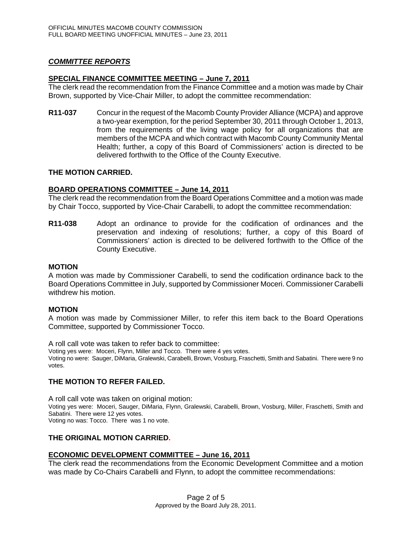## *COMMITTEE REPORTS*

#### **SPECIAL FINANCE COMMITTEE MEETING – June 7, 2011**

The clerk read the recommendation from the Finance Committee and a motion was made by Chair Brown, supported by Vice-Chair Miller, to adopt the committee recommendation:

**R11-037** Concur in the request of the Macomb County Provider Alliance (MCPA) and approve a two-year exemption, for the period September 30, 2011 through October 1, 2013, from the requirements of the living wage policy for all organizations that are members of the MCPA and which contract with Macomb County Community Mental Health; further, a copy of this Board of Commissioners' action is directed to be delivered forthwith to the Office of the County Executive.

#### **THE MOTION CARRIED.**

#### **BOARD OPERATIONS COMMITTEE – June 14, 2011**

The clerk read the recommendation from the Board Operations Committee and a motion was made by Chair Tocco, supported by Vice-Chair Carabelli, to adopt the committee recommendation:

**R11-038** Adopt an ordinance to provide for the codification of ordinances and the preservation and indexing of resolutions; further, a copy of this Board of Commissioners' action is directed to be delivered forthwith to the Office of the County Executive.

#### **MOTION**

A motion was made by Commissioner Carabelli, to send the codification ordinance back to the Board Operations Committee in July, supported by Commissioner Moceri. Commissioner Carabelli withdrew his motion.

#### **MOTION**

A motion was made by Commissioner Miller, to refer this item back to the Board Operations Committee, supported by Commissioner Tocco.

A roll call vote was taken to refer back to committee: Voting yes were: Moceri, Flynn, Miller and Tocco. There were 4 yes votes. Voting no were: Sauger, DiMaria, Gralewski, Carabelli, Brown, Vosburg, Fraschetti, Smith and Sabatini. There were 9 no votes.

#### **THE MOTION TO REFER FAILED.**

A roll call vote was taken on original motion: Voting yes were: Moceri, Sauger, DiMaria, Flynn, Gralewski, Carabelli, Brown, Vosburg, Miller, Fraschetti, Smith and Sabatini. There were 12 yes votes. Voting no was: Tocco. There was 1 no vote.

### **THE ORIGINAL MOTION CARRIED.**

#### **ECONOMIC DEVELOPMENT COMMITTEE – June 16, 2011**

The clerk read the recommendations from the Economic Development Committee and a motion was made by Co-Chairs Carabelli and Flynn, to adopt the committee recommendations: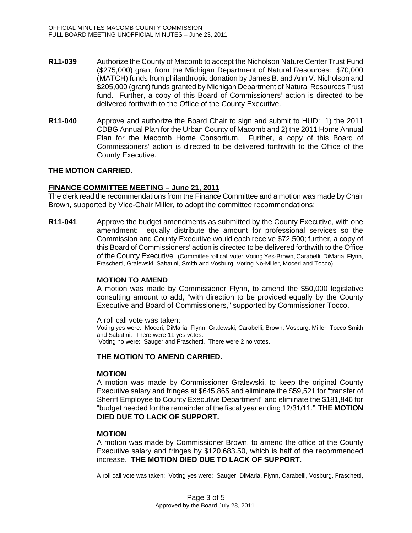- **R11-039** Authorize the County of Macomb to accept the Nicholson Nature Center Trust Fund (\$275,000) grant from the Michigan Department of Natural Resources: \$70,000 (MATCH) funds from philanthropic donation by James B. and Ann V. Nicholson and \$205,000 (grant) funds granted by Michigan Department of Natural Resources Trust fund. Further, a copy of this Board of Commissioners' action is directed to be delivered forthwith to the Office of the County Executive.
- **R11-040** Approve and authorize the Board Chair to sign and submit to HUD: 1) the 2011 CDBG Annual Plan for the Urban County of Macomb and 2) the 2011 Home Annual Plan for the Macomb Home Consortium. Further, a copy of this Board of Commissioners' action is directed to be delivered forthwith to the Office of the County Executive.

## **THE MOTION CARRIED.**

#### **FINANCE COMMITTEE MEETING – June 21, 2011**

The clerk read the recommendations from the Finance Committee and a motion was made by Chair Brown, supported by Vice-Chair Miller, to adopt the committee recommendations:

**R11-041** Approve the budget amendments as submitted by the County Executive, with one amendment: equally distribute the amount for professional services so the Commission and County Executive would each receive \$72,500; further, a copy of this Board of Commissioners' action is directed to be delivered forthwith to the Office of the County Executive. (Committee roll call vote: Voting Yes-Brown, Carabelli, DiMaria, Flynn, Fraschetti, Gralewski, Sabatini, Smith and Vosburg; Voting No-Miller, Moceri and Tocco)

#### **MOTION TO AMEND**

A motion was made by Commissioner Flynn, to amend the \$50,000 legislative consulting amount to add, "with direction to be provided equally by the County Executive and Board of Commissioners," supported by Commissioner Tocco.

A roll call vote was taken:

Voting yes were: Moceri, DiMaria, Flynn, Gralewski, Carabelli, Brown, Vosburg, Miller, Tocco,Smith and Sabatini. There were 11 yes votes.

Voting no were: Sauger and Fraschetti. There were 2 no votes.

## **THE MOTION TO AMEND CARRIED.**

#### **MOTION**

A motion was made by Commissioner Gralewski, to keep the original County Executive salary and fringes at \$645,865 and eliminate the \$59,521 for "transfer of Sheriff Employee to County Executive Department" and eliminate the \$181,846 for "budget needed for the remainder of the fiscal year ending 12/31/11." **THE MOTION DIED DUE TO LACK OF SUPPORT.** 

#### **MOTION**

A motion was made by Commissioner Brown, to amend the office of the County Executive salary and fringes by \$120,683.50, which is half of the recommended increase. **THE MOTION DIED DUE TO LACK OF SUPPORT.** 

A roll call vote was taken: Voting yes were: Sauger, DiMaria, Flynn, Carabelli, Vosburg, Fraschetti,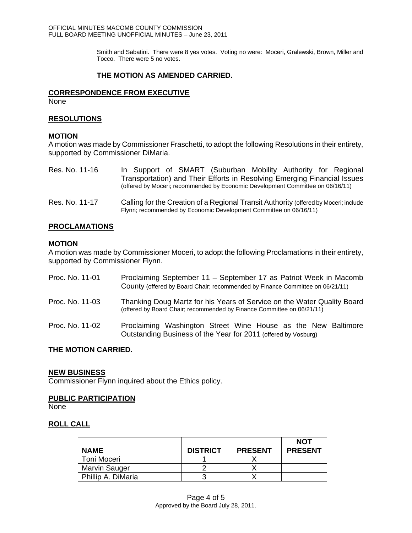Smith and Sabatini. There were 8 yes votes. Voting no were: Moceri, Gralewski, Brown, Miller and Tocco. There were 5 no votes.

# **THE MOTION AS AMENDED CARRIED.**

## **CORRESPONDENCE FROM EXECUTIVE**

None

# **RESOLUTIONS**

#### **MOTION**

A motion was made by Commissioner Fraschetti, to adopt the following Resolutions in their entirety, supported by Commissioner DiMaria.

| Res. No. 11-16 | In Support of SMART (Suburban Mobility Authority for Regional                                                                                              |
|----------------|------------------------------------------------------------------------------------------------------------------------------------------------------------|
|                | Transportation) and Their Efforts in Resolving Emerging Financial Issues<br>(offered by Moceri; recommended by Economic Development Committee on 06/16/11) |
| Res. No. 11-17 | Calling for the Creation of a Regional Transit Authority (offered by Moceri; include<br>Flynn; recommended by Economic Development Committee on 06/16/11)  |

# **PROCLAMATIONS**

#### **MOTION**

A motion was made by Commissioner Moceri, to adopt the following Proclamations in their entirety, supported by Commissioner Flynn.

| Proc. No. 11-01 | Proclaiming September 11 - September 17 as Patriot Week in Macomb<br>County (offered by Board Chair; recommended by Finance Committee on 06/21/11) |
|-----------------|----------------------------------------------------------------------------------------------------------------------------------------------------|
| Proc. No. 11-03 | Thanking Doug Martz for his Years of Service on the Water Quality Board<br>(offered by Board Chair; recommended by Finance Committee on 06/21/11)  |
| Proc. No. 11-02 | Proclaiming Washington Street Wine House as the New Baltimore<br>Outstanding Business of the Year for 2011 (offered by Vosburg)                    |

## **THE MOTION CARRIED.**

#### **NEW BUSINESS**

Commissioner Flynn inquired about the Ethics policy.

## **PUBLIC PARTICIPATION**

None

# **ROLL CALL**

|                      |                 |                | <b>NOT</b>     |
|----------------------|-----------------|----------------|----------------|
| <b>NAME</b>          | <b>DISTRICT</b> | <b>PRESENT</b> | <b>PRESENT</b> |
| Toni Moceri          |                 |                |                |
| <b>Marvin Sauger</b> |                 |                |                |
| Phillip A. DiMaria   |                 |                |                |